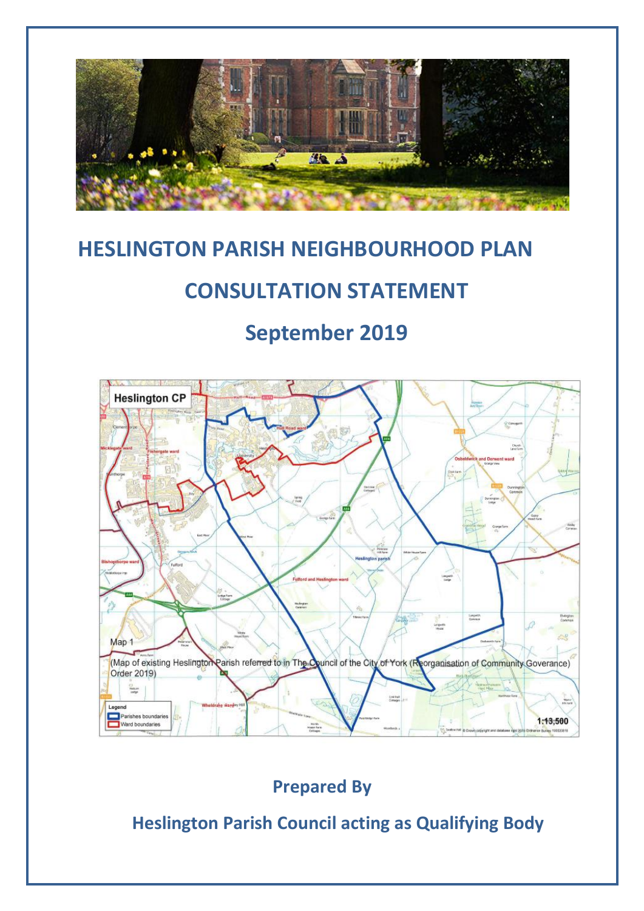

# **HESLINGTON PARISH NEIGHBOURHOOD PLAN**

# **CONSULTATION STATEMENT**

# **September 2019**



**Prepared By**

**Heslington Parish Council acting as Qualifying Body**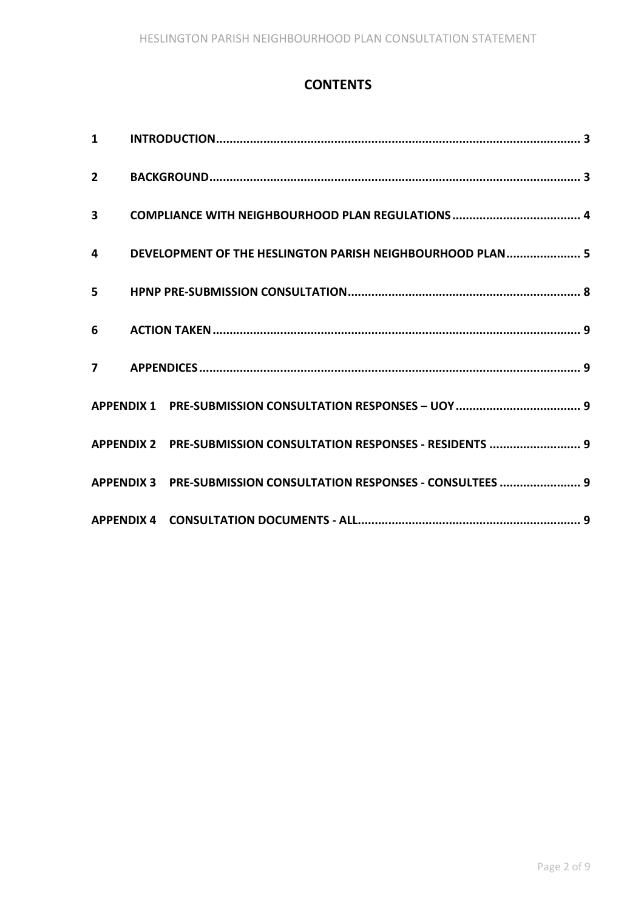# **CONTENTS**

|  | 4 DEVELOPMENT OF THE HESLINGTON PARISH NEIGHBOURHOOD PLAN 5      |  |
|--|------------------------------------------------------------------|--|
|  |                                                                  |  |
|  |                                                                  |  |
|  |                                                                  |  |
|  |                                                                  |  |
|  | APPENDIX 2 PRE-SUBMISSION CONSULTATION RESPONSES - RESIDENTS  9  |  |
|  | APPENDIX 3 PRE-SUBMISSION CONSULTATION RESPONSES - CONSULTEES  9 |  |
|  |                                                                  |  |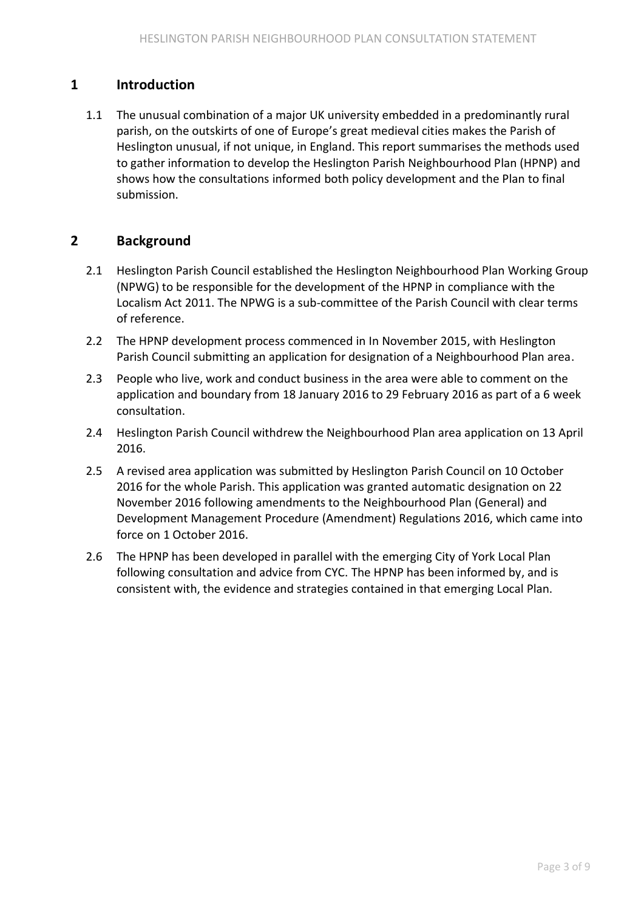# <span id="page-2-0"></span>**1 Introduction**

1.1 The unusual combination of a major UK university embedded in a predominantly rural parish, on the outskirts of one of Europe's great medieval cities makes the Parish of Heslington unusual, if not unique, in England. This report summarises the methods used to gather information to develop the Heslington Parish Neighbourhood Plan (HPNP) and shows how the consultations informed both policy development and the Plan to final submission.

# <span id="page-2-1"></span>**2 Background**

- 2.1 Heslington Parish Council established the Heslington Neighbourhood Plan Working Group (NPWG) to be responsible for the development of the HPNP in compliance with the Localism Act 2011. The NPWG is a sub-committee of the Parish Council with clear terms of reference.
- 2.2 The HPNP development process commenced in In November 2015, with Heslington Parish Council submitting an application for designation of a Neighbourhood Plan area.
- 2.3 People who live, work and conduct business in the area were able to comment on the application and boundary from 18 January 2016 to 29 February 2016 as part of a 6 week consultation.
- 2.4 Heslington Parish Council withdrew the Neighbourhood Plan area application on 13 April 2016.
- 2.5 A [revised area application](https://www.york.gov.uk/downloads/file/9534/heslington_neighbourhood_plan_application_and_boundary) was submitted by Heslington Parish Council on 10 October 2016 for the whole Parish. This application was granted automatic designation on 22 November 2016 following amendments to the Neighbourhood Plan (General) and Development Management Procedure (Amendment) Regulations 2016, which came into force on 1 October 2016.
- 2.6 The HPNP has been developed in parallel with the emerging City of York Local Plan following consultation and advice from CYC. The HPNP has been informed by, and is consistent with, the evidence and strategies contained in that emerging Local Plan.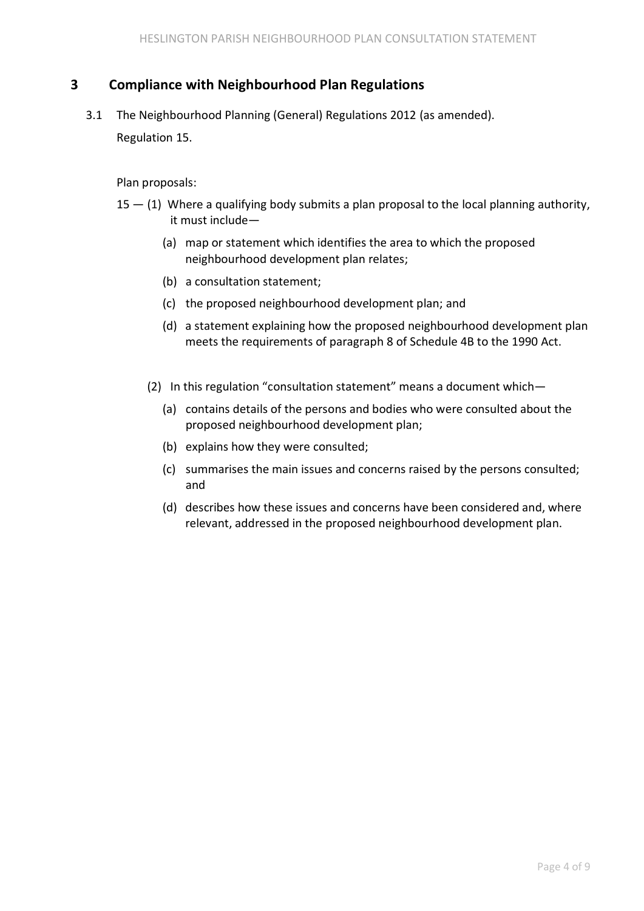# <span id="page-3-0"></span>**3 Compliance with Neighbourhood Plan Regulations**

3.1 The Neighbourhood Planning (General) Regulations 2012 (as amended). Regulation 15.

### Plan proposals:

- $15 (1)$  Where a qualifying body submits a plan proposal to the local planning authority, it must include—
	- (a) map or statement which identifies the area to which the proposed neighbourhood development plan relates;
	- (b) a consultation statement;
	- (c) the proposed neighbourhood development plan; and
	- (d) a statement explaining how the proposed neighbourhood development plan meets the requirements of paragraph 8 of Schedule 4B to the 1990 Act.
	- (2) In this regulation "consultation statement" means a document which—
		- (a) contains details of the persons and bodies who were consulted about the proposed neighbourhood development plan;
		- (b) explains how they were consulted;
		- (c) summarises the main issues and concerns raised by the persons consulted; and
		- (d) describes how these issues and concerns have been considered and, where relevant, addressed in the proposed neighbourhood development plan.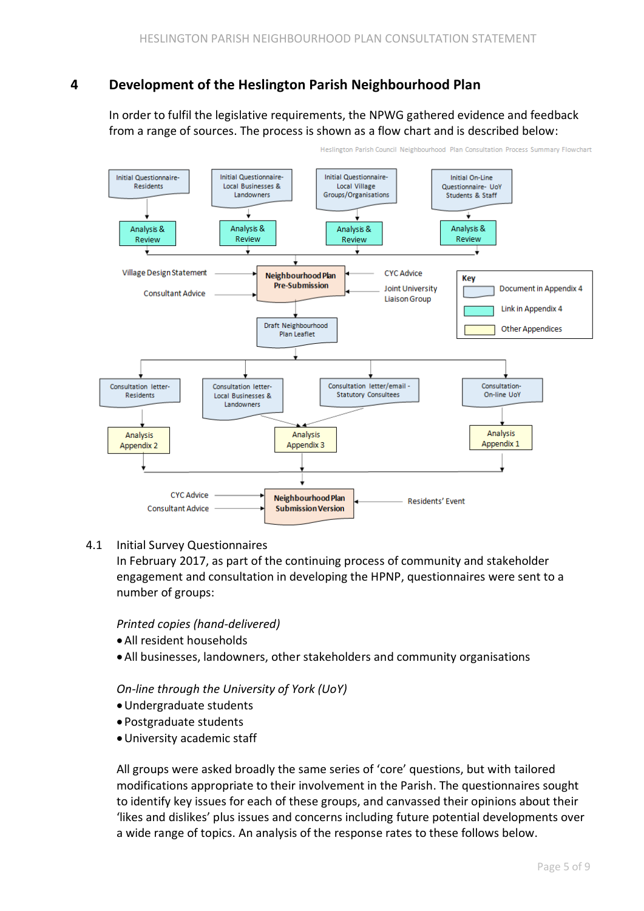# <span id="page-4-0"></span>**4 Development of the Heslington Parish Neighbourhood Plan**

In order to fulfil the legislative requirements, the NPWG gathered evidence and feedback from a range of sources. The process is shown as a flow chart and is described below:



### 4.1 Initial Survey Questionnaires

In February 2017, as part of the continuing process of community and stakeholder engagement and consultation in developing the HPNP, questionnaires were sent to a number of groups:

#### *Printed copies (hand-delivered)*

- All resident households
- All businesses, landowners, other stakeholders and community organisations

#### *On-line through the University of York (UoY)*

- Undergraduate students
- Postgraduate students
- University academic staff

All groups were asked broadly the same series of 'core' questions, but with tailored modifications appropriate to their involvement in the Parish. The questionnaires sought to identify key issues for each of these groups, and canvassed their opinions about their 'likes and dislikes' plus issues and concerns including future potential developments over a wide range of topics. An analysis of the response rates to these follows below.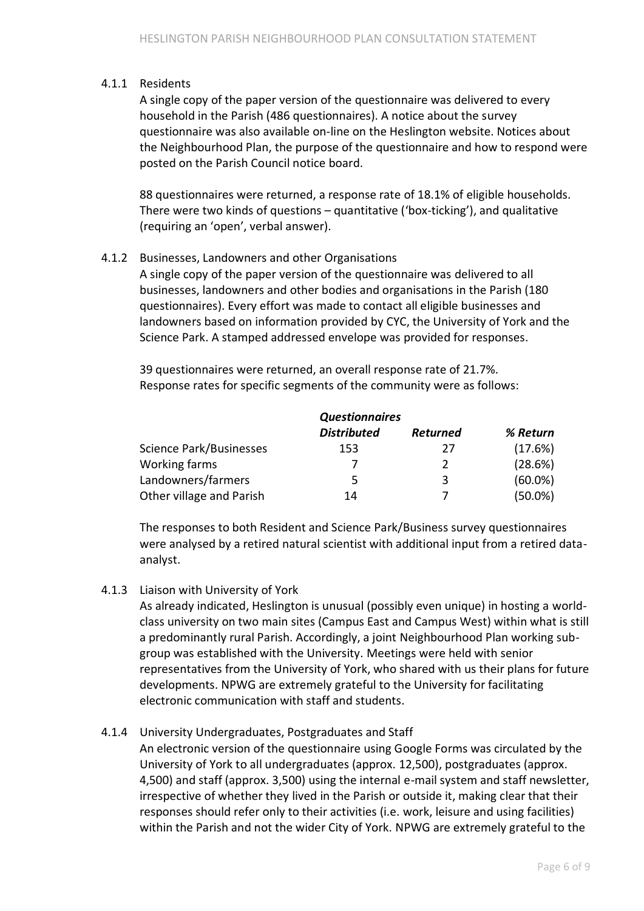## 4.1.1 Residents

A single copy of the paper version of the questionnaire was delivered to every household in the Parish (486 questionnaires). A notice about the survey questionnaire was also available on-line on the Heslington website. Notices about the Neighbourhood Plan, the purpose of the questionnaire and how to respond were posted on the Parish Council notice board.

88 questionnaires were returned, a response rate of 18.1% of eligible households. There were two kinds of questions – quantitative ('box-ticking'), and qualitative (requiring an 'open', verbal answer).

## 4.1.2 Businesses, Landowners and other Organisations

A single copy of the paper version of the questionnaire was delivered to all businesses, landowners and other bodies and organisations in the Parish (180 questionnaires). Every effort was made to contact all eligible businesses and landowners based on information provided by CYC, the University of York and the Science Park. A stamped addressed envelope was provided for responses.

39 questionnaires were returned, an overall response rate of 21.7%. Response rates for specific segments of the community were as follows:

|                                | <b>Questionnaires</b> |                 |            |
|--------------------------------|-----------------------|-----------------|------------|
|                                | <b>Distributed</b>    | <b>Returned</b> | % Return   |
| <b>Science Park/Businesses</b> | 153                   | 27              | (17.6%)    |
| Working farms                  |                       | 2               | (28.6%)    |
| Landowners/farmers             | 5                     | 3               | $(60.0\%)$ |
| Other village and Parish       | 14                    |                 | $(50.0\%)$ |

The responses to both Resident and Science Park/Business survey questionnaires were analysed by a retired natural scientist with additional input from a retired dataanalyst.

### 4.1.3 Liaison with University of York

As already indicated, Heslington is unusual (possibly even unique) in hosting a worldclass university on two main sites (Campus East and Campus West) within what is still a predominantly rural Parish. Accordingly, a joint Neighbourhood Plan working subgroup was established with the University. Meetings were held with senior representatives from the University of York, who shared with us their plans for future developments. NPWG are extremely grateful to the University for facilitating electronic communication with staff and students.

## 4.1.4 University Undergraduates, Postgraduates and Staff

An electronic version of the questionnaire using Google Forms was circulated by the University of York to all undergraduates (approx. 12,500), postgraduates (approx. 4,500) and staff (approx. 3,500) using the internal e-mail system and staff newsletter, irrespective of whether they lived in the Parish or outside it, making clear that their responses should refer only to their activities (i.e. work, leisure and using facilities) within the Parish and not the wider City of York. NPWG are extremely grateful to the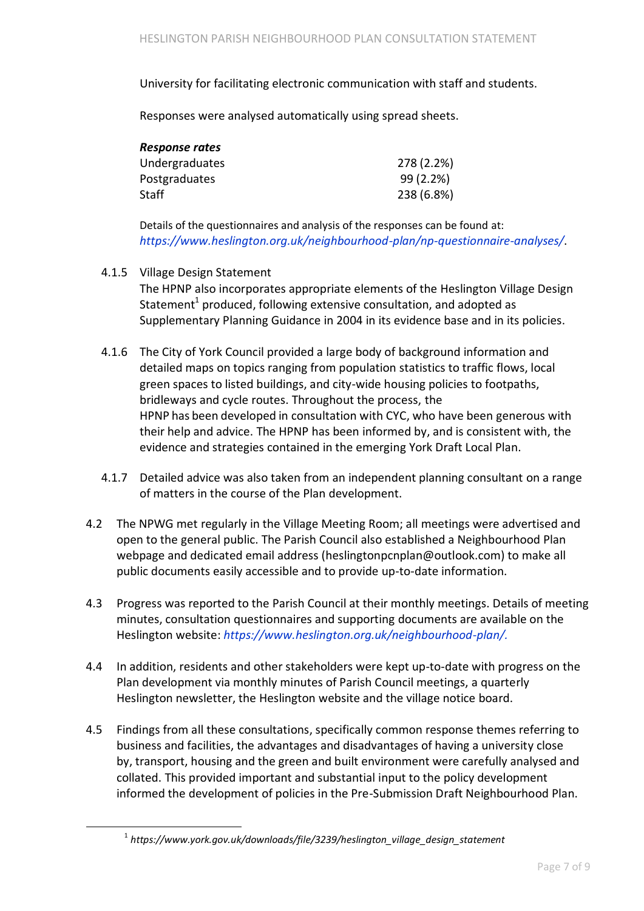University for facilitating electronic communication with staff and students.

Responses were analysed automatically using spread sheets.

| Response rates |            |
|----------------|------------|
| Undergraduates | 278 (2.2%) |
| Postgraduates  | 99 (2.2%)  |
| Staff          | 238 (6.8%) |

Details of the questionnaires and analysis of the responses can be found at: *<https://www.heslington.org.uk/neighbourhood-plan/np-questionnaire-analyses/>*.

- 4.1.5 Village Design Statement The HPNP also incorporates appropriate elements of the Heslington Village Design Statement<sup>1</sup> produced, following extensive consultation, and adopted as Supplementary Planning Guidance in 2004 in its evidence base and in its policies.
- 4.1.6 The City of York Council provided a large body of background information and detailed maps on topics ranging from population statistics to traffic flows, local green spaces to listed buildings, and city-wide housing policies to footpaths, bridleways and cycle routes. Throughout the process, the HPNP has been developed in consultation with CYC, who have been generous with their help and advice. The HPNP has been informed by, and is consistent with, the evidence and strategies contained in the emerging York Draft Local Plan.
- 4.1.7 Detailed advice was also taken from an independent planning consultant on a range of matters in the course of the Plan development.
- 4.2 The NPWG met regularly in the Village Meeting Room; all meetings were advertised and open to the general public. The Parish Council also established a Neighbourhood Plan webpage and dedicated email address [\(heslingtonpcnplan@outlook.com\)](mailto:heslingtonpcnplan@outlook.com) to make all public documents easily accessible and to provide up-to-date information.
- 4.3 Progress was reported to the Parish Council at their monthly meetings. Details of meeting minutes, consultation questionnaires and supporting documents are available on the Heslington website: *https://www.heslington.org.uk/neighbourhood-plan/.*
- 4.4 In addition, residents and other stakeholders were kept up-to-date with progress on the Plan development via monthly minutes of Parish Council meetings, a quarterly Heslington newsletter, the Heslington website and the village notice board.
- 4.5 Findings from all these consultations, specifically common response themes referring to business and facilities, the advantages and disadvantages of having a university close by, transport, housing and the green and built environment were carefully analysed and collated. This provided important and substantial input to the policy development informed the development of policies in the Pre-Submission Draft Neighbourhood Plan.

**.** 

<sup>1</sup> *https://www.york.gov.uk/downloads/file/3239/heslington\_village\_design\_statement*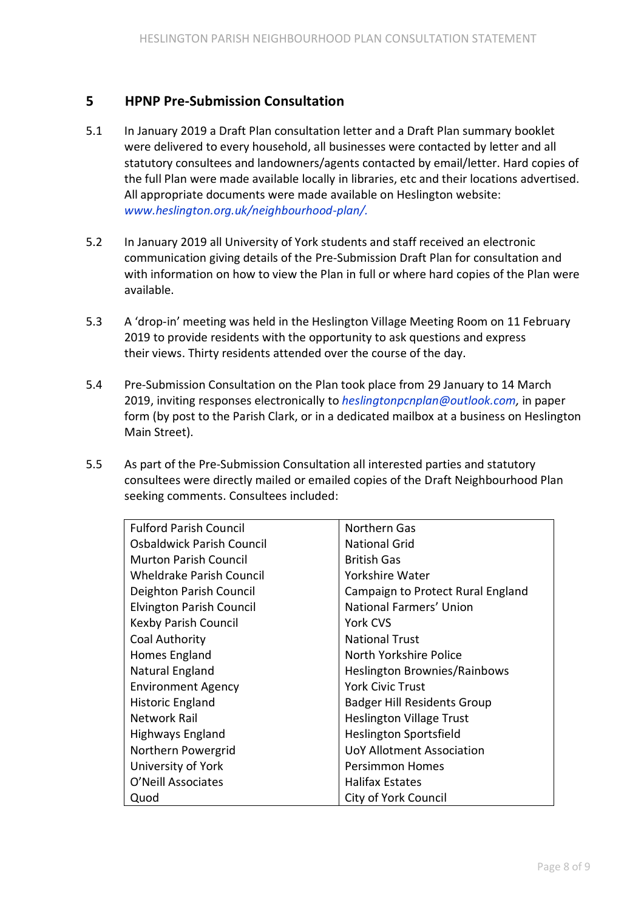## <span id="page-7-0"></span>**5 HPNP Pre-Submission Consultation**

- 5.1 In January 2019 a Draft Plan consultation letter and a Draft Plan summary booklet were delivered to every household, all businesses were contacted by letter and all statutory consultees and landowners/agents contacted by email/letter. Hard copies of the full Plan were made available locally in libraries, etc and their locations advertised. All appropriate documents were made available on Heslington website: *www.heslington.org.uk/neighbourhood-plan/.*
- 5.2 In January 2019 all University of York students and staff received an electronic communication giving details of the Pre-Submission Draft Plan for consultation and with information on how to view the Plan in full or where hard copies of the Plan were available.
- 5.3 A 'drop-in' meeting was held in the Heslington Village Meeting Room on 11 February 2019 to provide residents with the opportunity to ask questions and express their views. Thirty residents attended over the course of the day.
- 5.4 Pre-Submission Consultation on the Plan took place from 29 January to 14 March 2019, inviting responses electronically to *heslingtonpcnplan@outlook.com,* in paper form (by post to the Parish Clark, or in a dedicated mailbox at a business on Heslington Main Street).
- 5.5 As part of the Pre-Submission Consultation all interested parties and statutory consultees were directly mailed or emailed copies of the Draft Neighbourhood Plan seeking comments. Consultees included:

| <b>Fulford Parish Council</b>    | Northern Gas                        |
|----------------------------------|-------------------------------------|
| <b>Osbaldwick Parish Council</b> | <b>National Grid</b>                |
| <b>Murton Parish Council</b>     | <b>British Gas</b>                  |
| <b>Wheldrake Parish Council</b>  | Yorkshire Water                     |
| Deighton Parish Council          | Campaign to Protect Rural England   |
| <b>Elvington Parish Council</b>  | National Farmers' Union             |
| <b>Kexby Parish Council</b>      | York CVS                            |
| Coal Authority                   | <b>National Trust</b>               |
| Homes England                    | North Yorkshire Police              |
| Natural England                  | <b>Heslington Brownies/Rainbows</b> |
| <b>Environment Agency</b>        | <b>York Civic Trust</b>             |
| Historic England                 | <b>Badger Hill Residents Group</b>  |
| <b>Network Rail</b>              | <b>Heslington Village Trust</b>     |
| Highways England                 | <b>Heslington Sportsfield</b>       |
| Northern Powergrid               | <b>UoY Allotment Association</b>    |
| University of York               | Persimmon Homes                     |
| O'Neill Associates               | <b>Halifax Estates</b>              |
| Quod                             | City of York Council                |